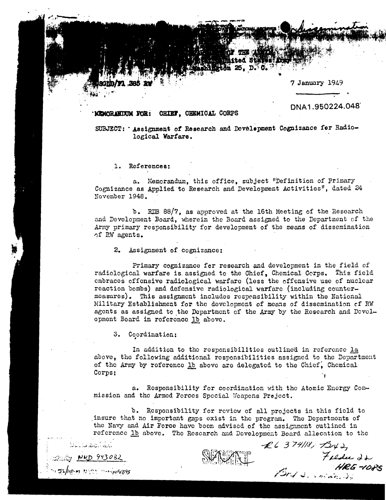7 January 1949

## MEMORANDUM FOR: CHIEF, CHEMICAL CORPS

DNA1.950224.048

SUBJECT: Assignment of Research and Development Cognizance for Radiological Warfare.

THE CARD **MASCA START**  $H_{011}^{\bullet} \approx 0.50$ .

1. References:

**71 385 RV** 

a. Memorandum, this office, subject "Definition of Primary Cognizance as Applied to Research and Development Activities". dated 24 November 1948.

b. RDB 88/7, as approved at the 16th Meeting of the Research and Development Board, wherein the Board assigned to the Department of the Army primary responsibility for development of the means of dissemination of RW agents.

2. Assignment of cognizance:

Primary cognizance for research and development in the field of radiological warfare is assigned to the Chief. Chemical Corps. This field embraces offensive radiological warfare (less the offensive use of nuclear reaction bombs) and defensive radiological warfare (including countermeasures). This assignment includes responsibility within the National Military Establishment for the development of means of dissemination of RW agents as assigned to the Department of the Army by the Research and Development Board in reference 1b above.

3. Coordination:

نَائِيلُوْ أَمَنْ مُعَامَدَ بَاللَّهِ فَا

BS/HR-M NORA BANNAFEB95

V NKD 943082

In addition to the responsibilities outlined in reference la above, the following additional responsibilities assigned to the Department of the Army by reference 1b above are delegated to the Chief, Chemical Corps;

a. Responsibility for coordination with the Atomic Energy Commission and the Armed Forces Special Weapons Project.

b. Responsibility for review of all projects in this field to insure that no important gaps exist in the program. The Departments of the Navy and Air Force have been advised of the assignment outlined in reference lb above. The Research and Development Board allocation to the

 $26374118, 1343, 12442, 224$